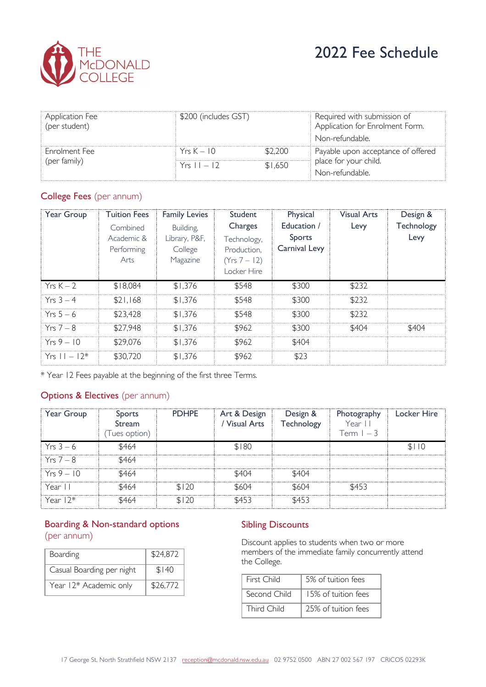

| Application Fee<br>(per student)     | \$200 (includes GST) |         | Required with submission of<br>Application for Enrolment Form. |  |
|--------------------------------------|----------------------|---------|----------------------------------------------------------------|--|
|                                      |                      |         | Non-refundable.                                                |  |
| <b>Enrolment</b> Fee<br>(per family) | $Y$ rs $K = 10$      | \$2.200 | Payable upon acceptance of offered                             |  |
|                                      | $Yrs 11 - 12$        | \$1.650 | place for your child.                                          |  |
|                                      |                      |         | Non-refundable.                                                |  |

# College Fees (per annum)

| Year Group       | <b>Tuition Fees</b><br>Combined<br>Academic &<br>Performing<br>Arts | <b>Family Levies</b><br>Building,<br>Library, P&F,<br>College<br>Magazine | Student<br>Charges<br>Technology,<br>Production,<br>(Yrs 7 – 12)<br>Locker Hire | Physical<br>Education /<br>Sports<br>Carnival Levy | <b>Visual Arts</b><br>Levy | Design &<br>Technology<br>Levy |
|------------------|---------------------------------------------------------------------|---------------------------------------------------------------------------|---------------------------------------------------------------------------------|----------------------------------------------------|----------------------------|--------------------------------|
| $Yrs K - 2$      | \$18,084                                                            | \$1,376                                                                   | \$548                                                                           | \$300                                              | \$232                      |                                |
| $Yrs 3 - 4$      | \$21.168                                                            | \$1.376                                                                   | \$548                                                                           | \$300                                              | \$232                      |                                |
| $Yrs 5-6$        | \$23.428                                                            | \$1.376                                                                   | \$548                                                                           | \$300                                              | \$232                      |                                |
| $Yrs 7 - 8$      | \$27.948                                                            | \$1.376                                                                   | \$962                                                                           | \$300                                              | \$404                      | \$404                          |
| $Yrs9 - 10$      | \$29.076                                                            | \$1.376                                                                   | \$962                                                                           | \$404                                              |                            |                                |
| $Yrs = 11 - 12*$ | \$30,720                                                            | \$1.376                                                                   | \$962                                                                           | \$23                                               |                            |                                |

\* Year 12 Fees payable at the beginning of the first three Terms.

## Options & Electives (per annum)

| Year Group  | <b>Sports</b><br>Stream<br>(Tues option) | <b>PDHPE</b> | Art & Design<br>Visual Arts | Design &<br>Technology | Photography<br>Year II<br>Term $1 - 3$ | <b>Locker Hire</b> |
|-------------|------------------------------------------|--------------|-----------------------------|------------------------|----------------------------------------|--------------------|
| $Yrs 3-6$   | \$464                                    |              | \$180                       |                        |                                        | \$110              |
| $Yrs 7 - 8$ | \$464                                    |              |                             |                        |                                        |                    |
| $Yrs9 - 10$ | \$464                                    |              | \$404                       | \$404                  |                                        |                    |
| Year II     | \$464                                    | \$120        | \$604                       | \$604                  | \$453                                  |                    |
| Year $12*$  | \$464                                    | \$120        | \$453                       | \$453                  |                                        |                    |

## Boarding & Non-standard options (per annum)

| <b>Boarding</b>           | \$24,872 |
|---------------------------|----------|
| Casual Boarding per night | \$140    |
| Year 12* Academic only    | \$26,772 |

#### Sibling Discounts

Discount applies to students when two or more members of the immediate family concurrently attend the College.

| First Child  | 5% of tuition fees  |
|--------------|---------------------|
| Second Child | 15% of tuition fees |
| Third Child  | 25% of tuition fees |